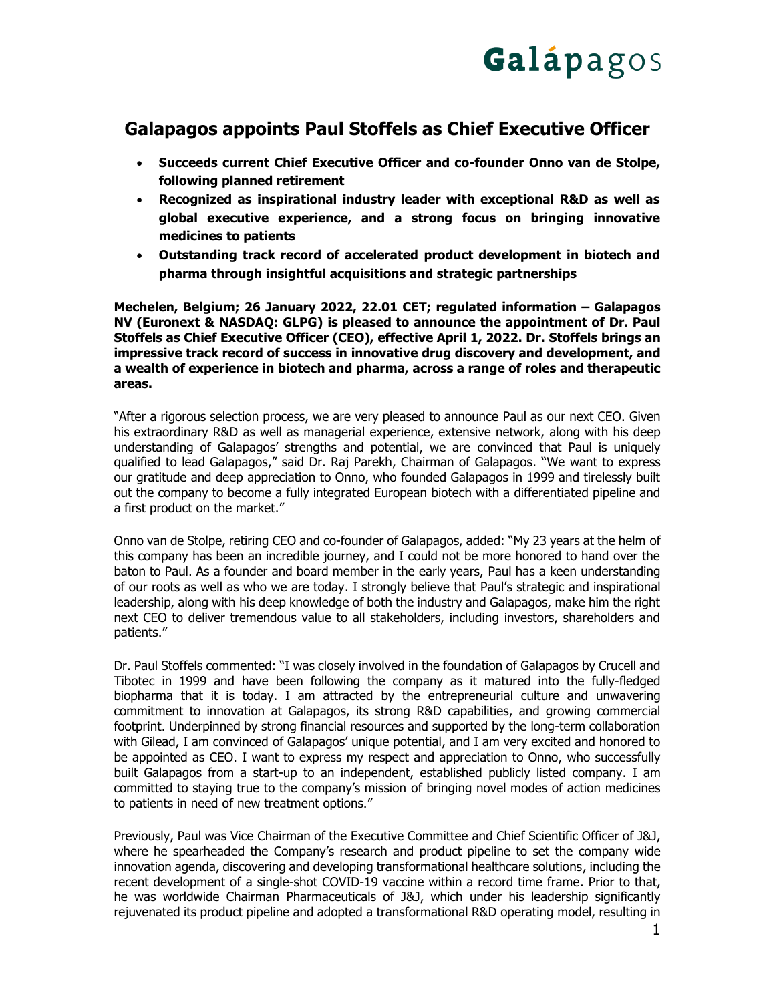

# **Galapagos appoints Paul Stoffels as Chief Executive Officer**

- **Succeeds current Chief Executive Officer and co-founder Onno van de Stolpe, following planned retirement**
- **Recognized as inspirational industry leader with exceptional R&D as well as global executive experience, and a strong focus on bringing innovative medicines to patients**
- **Outstanding track record of accelerated product development in biotech and pharma through insightful acquisitions and strategic partnerships**

**Mechelen, Belgium; 26 January 2022, 22.01 CET; regulated information – Galapagos NV (Euronext & NASDAQ: GLPG) is pleased to announce the appointment of Dr. Paul Stoffels as Chief Executive Officer (CEO), effective April 1, 2022. Dr. Stoffels brings an impressive track record of success in innovative drug discovery and development, and a wealth of experience in biotech and pharma, across a range of roles and therapeutic areas.**

"After a rigorous selection process, we are very pleased to announce Paul as our next CEO. Given his extraordinary R&D as well as managerial experience, extensive network, along with his deep understanding of Galapagos' strengths and potential, we are convinced that Paul is uniquely qualified to lead Galapagos," said Dr. Raj Parekh, Chairman of Galapagos. "We want to express our gratitude and deep appreciation to Onno, who founded Galapagos in 1999 and tirelessly built out the company to become a fully integrated European biotech with a differentiated pipeline and a first product on the market."

Onno van de Stolpe, retiring CEO and co-founder of Galapagos, added: "My 23 years at the helm of this company has been an incredible journey, and I could not be more honored to hand over the baton to Paul. As a founder and board member in the early years, Paul has a keen understanding of our roots as well as who we are today. I strongly believe that Paul's strategic and inspirational leadership, along with his deep knowledge of both the industry and Galapagos, make him the right next CEO to deliver tremendous value to all stakeholders, including investors, shareholders and patients."

Dr. Paul Stoffels commented: "I was closely involved in the foundation of Galapagos by Crucell and Tibotec in 1999 and have been following the company as it matured into the fully-fledged biopharma that it is today. I am attracted by the entrepreneurial culture and unwavering commitment to innovation at Galapagos, its strong R&D capabilities, and growing commercial footprint. Underpinned by strong financial resources and supported by the long-term collaboration with Gilead, I am convinced of Galapagos' unique potential, and I am very excited and honored to be appointed as CEO. I want to express my respect and appreciation to Onno, who successfully built Galapagos from a start-up to an independent, established publicly listed company. I am committed to staying true to the company's mission of bringing novel modes of action medicines to patients in need of new treatment options."

Previously, Paul was Vice Chairman of the Executive Committee and Chief Scientific Officer of J&J, where he spearheaded the Company's research and product pipeline to set the company wide innovation agenda, discovering and developing transformational healthcare solutions, including the recent development of a single-shot COVID-19 vaccine within a record time frame. Prior to that, he was worldwide Chairman Pharmaceuticals of J&J, which under his leadership significantly rejuvenated its product pipeline and adopted a transformational R&D operating model, resulting in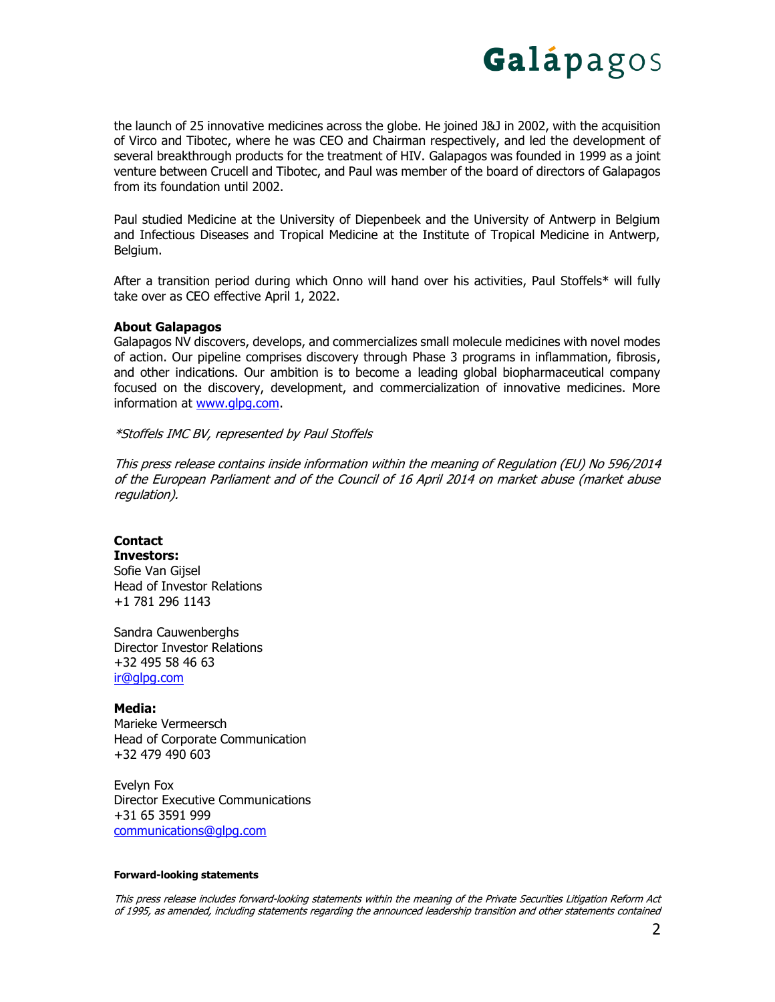

the launch of 25 innovative medicines across the globe. He joined J&J in 2002, with the acquisition of Virco and Tibotec, where he was CEO and Chairman respectively, and led the development of several breakthrough products for the treatment of HIV. Galapagos was founded in 1999 as a joint venture between Crucell and Tibotec, and Paul was member of the board of directors of Galapagos from its foundation until 2002.

Paul studied Medicine at the University of Diepenbeek and the University of Antwerp in Belgium and Infectious Diseases and Tropical Medicine at the Institute of Tropical Medicine in Antwerp, Belgium.

After a transition period during which Onno will hand over his activities, Paul Stoffels\* will fully take over as CEO effective April 1, 2022.

### **About Galapagos**

Galapagos NV discovers, develops, and commercializes small molecule medicines with novel modes of action. Our pipeline comprises discovery through Phase 3 programs in inflammation, fibrosis, and other indications. Our ambition is to become a leading global biopharmaceutical company focused on the discovery, development, and commercialization of innovative medicines. More information at [www.glpg.com.](http://www.glpg.com/)

### \*Stoffels IMC BV, represented by Paul Stoffels

This press release contains inside information within the meaning of Regulation (EU) No 596/2014 of the European Parliament and of the Council of 16 April 2014 on market abuse (market abuse regulation).

## **Contact**

**Investors:** Sofie Van Gijsel

Head of Investor Relations +1 781 296 1143

Sandra Cauwenberghs Director Investor Relations +32 495 58 46 63 [ir@glpg.com](mailto:ir@glpg.com)

### **Media:**

Marieke Vermeersch Head of Corporate Communication +32 479 490 603

Evelyn Fox Director Executive Communications +31 65 3591 999 [communications@glpg.com](mailto:communications@glpg.com)

#### **Forward-looking statements**

This press release includes forward-looking statements within the meaning of the Private Securities Litigation Reform Act of 1995, as amended, including statements regarding the announced leadership transition and other statements contained